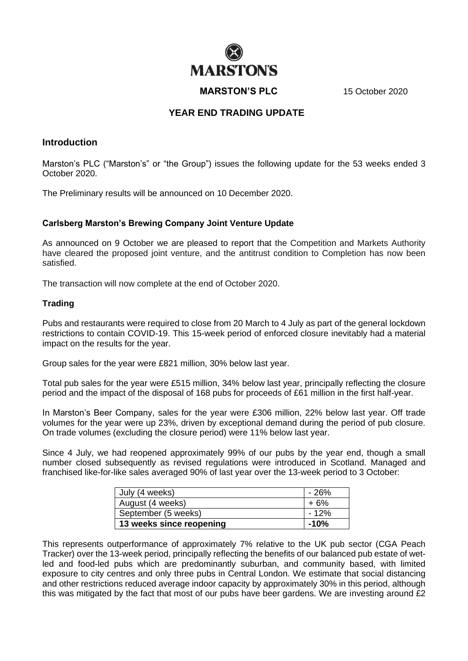# **MARSTON'S**

**MARSTON'S PLC** 15 October 2020

## **YEAR END TRADING UPDATE**

## **Introduction**

Marston's PLC ("Marston's" or "the Group") issues the following update for the 53 weeks ended 3 October 2020.

The Preliminary results will be announced on 10 December 2020.

#### **Carlsberg Marston's Brewing Company Joint Venture Update**

As announced on 9 October we are pleased to report that the Competition and Markets Authority have cleared the proposed joint venture, and the antitrust condition to Completion has now been satisfied.

The transaction will now complete at the end of October 2020.

### **Trading**

Pubs and restaurants were required to close from 20 March to 4 July as part of the general lockdown restrictions to contain COVID-19. This 15-week period of enforced closure inevitably had a material impact on the results for the year.

Group sales for the year were £821 million, 30% below last year.

Total pub sales for the year were £515 million, 34% below last year, principally reflecting the closure period and the impact of the disposal of 168 pubs for proceeds of £61 million in the first half-year.

In Marston's Beer Company, sales for the year were £306 million, 22% below last year. Off trade volumes for the year were up 23%, driven by exceptional demand during the period of pub closure. On trade volumes (excluding the closure period) were 11% below last year.

Since 4 July, we had reopened approximately 99% of our pubs by the year end, though a small number closed subsequently as revised regulations were introduced in Scotland. Managed and franchised like-for-like sales averaged 90% of last year over the 13-week period to 3 October:

| July (4 weeks)           | - 26% |
|--------------------------|-------|
| August (4 weeks)         | +6%   |
| September (5 weeks)      | - 12% |
| 13 weeks since reopening | -10%  |

This represents outperformance of approximately 7% relative to the UK pub sector (CGA Peach Tracker) over the 13-week period, principally reflecting the benefits of our balanced pub estate of wetled and food-led pubs which are predominantly suburban, and community based, with limited exposure to city centres and only three pubs in Central London. We estimate that social distancing and other restrictions reduced average indoor capacity by approximately 30% in this period, although this was mitigated by the fact that most of our pubs have beer gardens. We are investing around £2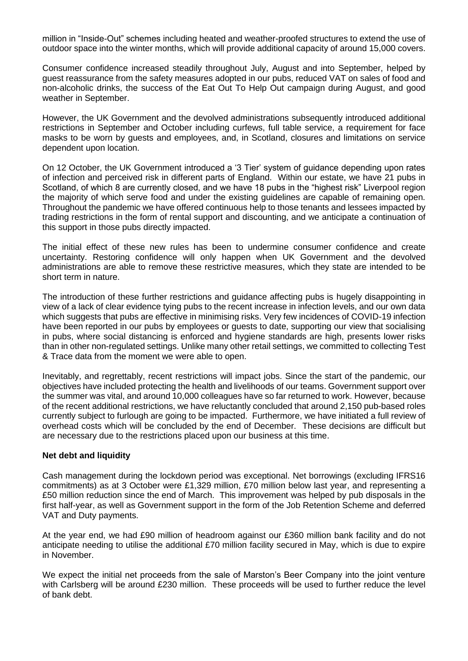million in "Inside-Out" schemes including heated and weather-proofed structures to extend the use of outdoor space into the winter months, which will provide additional capacity of around 15,000 covers.

Consumer confidence increased steadily throughout July, August and into September, helped by guest reassurance from the safety measures adopted in our pubs, reduced VAT on sales of food and non-alcoholic drinks, the success of the Eat Out To Help Out campaign during August, and good weather in September.

However, the UK Government and the devolved administrations subsequently introduced additional restrictions in September and October including curfews, full table service, a requirement for face masks to be worn by guests and employees, and, in Scotland, closures and limitations on service dependent upon location.

On 12 October, the UK Government introduced a '3 Tier' system of guidance depending upon rates of infection and perceived risk in different parts of England. Within our estate, we have 21 pubs in Scotland, of which 8 are currently closed, and we have 18 pubs in the "highest risk" Liverpool region the majority of which serve food and under the existing guidelines are capable of remaining open. Throughout the pandemic we have offered continuous help to those tenants and lessees impacted by trading restrictions in the form of rental support and discounting, and we anticipate a continuation of this support in those pubs directly impacted.

The initial effect of these new rules has been to undermine consumer confidence and create uncertainty. Restoring confidence will only happen when UK Government and the devolved administrations are able to remove these restrictive measures, which they state are intended to be short term in nature.

The introduction of these further restrictions and guidance affecting pubs is hugely disappointing in view of a lack of clear evidence tying pubs to the recent increase in infection levels, and our own data which suggests that pubs are effective in minimising risks. Very few incidences of COVID-19 infection have been reported in our pubs by employees or guests to date, supporting our view that socialising in pubs, where social distancing is enforced and hygiene standards are high, presents lower risks than in other non-regulated settings. Unlike many other retail settings, we committed to collecting Test & Trace data from the moment we were able to open.

Inevitably, and regrettably, recent restrictions will impact jobs. Since the start of the pandemic, our objectives have included protecting the health and livelihoods of our teams. Government support over the summer was vital, and around 10,000 colleagues have so far returned to work. However, because of the recent additional restrictions, we have reluctantly concluded that around 2,150 pub-based roles currently subject to furlough are going to be impacted. Furthermore, we have initiated a full review of overhead costs which will be concluded by the end of December. These decisions are difficult but are necessary due to the restrictions placed upon our business at this time.

### **Net debt and liquidity**

Cash management during the lockdown period was exceptional. Net borrowings (excluding IFRS16 commitments) as at 3 October were £1,329 million, £70 million below last year, and representing a £50 million reduction since the end of March. This improvement was helped by pub disposals in the first half-year, as well as Government support in the form of the Job Retention Scheme and deferred VAT and Duty payments.

At the year end, we had £90 million of headroom against our £360 million bank facility and do not anticipate needing to utilise the additional £70 million facility secured in May, which is due to expire in November.

We expect the initial net proceeds from the sale of Marston's Beer Company into the joint venture with Carlsberg will be around £230 million. These proceeds will be used to further reduce the level of bank debt.